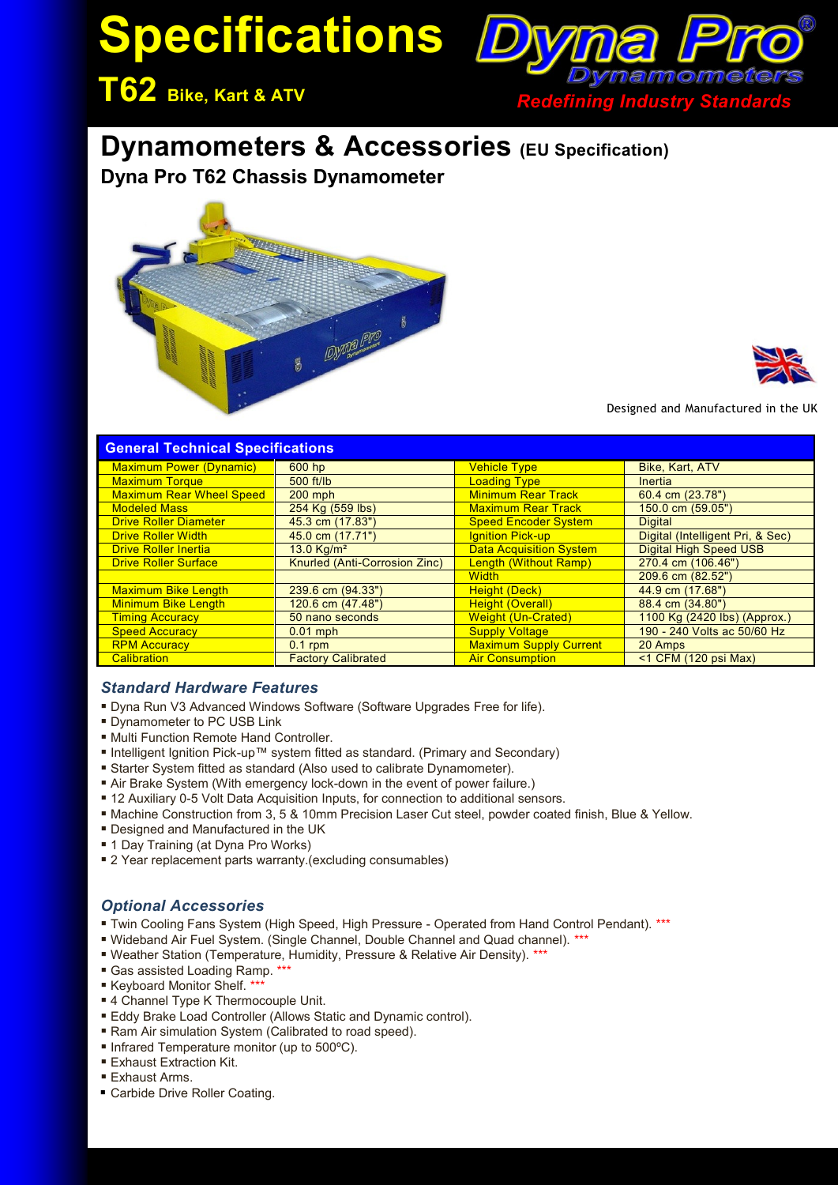# **Specifications**



## **Dynamometers & Accessories (EU Specification)**

**Dyna Pro T62 Chassis Dynamometer** 





Designed and Manufactured in the UK

| <b>General Technical Specifications</b> |                               |                                |                                  |
|-----------------------------------------|-------------------------------|--------------------------------|----------------------------------|
| <b>Maximum Power (Dynamic)</b>          | 600 hp                        | <b>Vehicle Type</b>            | Bike, Kart, ATV                  |
| <b>Maximum Torque</b>                   | $500$ ft/lb                   | <b>Loading Type</b>            | <b>Inertia</b>                   |
| <b>Maximum Rear Wheel Speed</b>         | $200$ mph                     | <b>Minimum Rear Track</b>      | 60.4 cm (23.78")                 |
| <b>Modeled Mass</b>                     | 254 Kg (559 lbs)              | <b>Maximum Rear Track</b>      | 150.0 cm (59.05")                |
| <b>Drive Roller Diameter</b>            | 45.3 cm (17.83")              | <b>Speed Encoder System</b>    | <b>Digital</b>                   |
| <b>Drive Roller Width</b>               | 45.0 cm (17.71")              | <b>Ignition Pick-up</b>        | Digital (Intelligent Pri, & Sec) |
| <b>Drive Roller Inertia</b>             | 13.0 Kg/m <sup>2</sup>        | <b>Data Acquisition System</b> | Digital High Speed USB           |
| <b>Drive Roller Surface</b>             | Knurled (Anti-Corrosion Zinc) | Length (Without Ramp)          | 270.4 cm (106.46")               |
|                                         |                               | <b>Width</b>                   | 209.6 cm (82.52")                |
| <b>Maximum Bike Length</b>              | 239.6 cm (94.33")             | Height (Deck)                  | 44.9 cm (17.68")                 |
| <b>Minimum Bike Length</b>              | 120.6 cm (47.48")             | <b>Height (Overall)</b>        | 88.4 cm (34.80")                 |
| <b>Timing Accuracy</b>                  | 50 nano seconds               | <b>Weight (Un-Crated)</b>      | 1100 Kg (2420 lbs) (Approx.)     |
| <b>Speed Accuracy</b>                   | $0.01$ mph                    | <b>Supply Voltage</b>          | 190 - 240 Volts ac 50/60 Hz      |
| <b>RPM Accuracy</b>                     | $0.1$ rpm                     | <b>Maximum Supply Current</b>  | 20 Amps                          |
| <b>Calibration</b>                      | <b>Factory Calibrated</b>     | <b>Air Consumption</b>         | $<$ 1 CFM (120 psi Max)          |

#### *Standard Hardware Features*

- Dyna Run V3 Advanced Windows Software (Software Upgrades Free for life).
- **Dynamometer to PC USB Link**
- Multi Function Remote Hand Controller.
- Intelligent Ignition Pick-up™ system fitted as standard. (Primary and Secondary)
- Starter System fitted as standard (Also used to calibrate Dynamometer).
- Air Brake System (With emergency lock-down in the event of power failure.)
- 12 Auxiliary 0-5 Volt Data Acquisition Inputs, for connection to additional sensors.
- Machine Construction from 3, 5 & 10mm Precision Laser Cut steel, powder coated finish, Blue & Yellow.
- Designed and Manufactured in the UK
- 1 Day Training (at Dyna Pro Works)
- **2** Year replacement parts warranty.(excluding consumables)

#### *Optional Accessories*

- Twin Cooling Fans System (High Speed, High Pressure Operated from Hand Control Pendant). \*\*\*
- Wideband Air Fuel System. (Single Channel, Double Channel and Quad channel). \*\*\*
- Weather Station (Temperature, Humidity, Pressure & Relative Air Density). \*\*\*
- Gas assisted Loading Ramp. \*\*\*
- Keyboard Monitor Shelf. \*\*
- 4 Channel Type K Thermocouple Unit.
- **Eddy Brake Load Controller (Allows Static and Dynamic control).**
- Ram Air simulation System (Calibrated to road speed).
- Infrared Temperature monitor (up to 500°C).
- **Exhaust Extraction Kit.**
- Exhaust Arms.
- Carbide Drive Roller Coating.